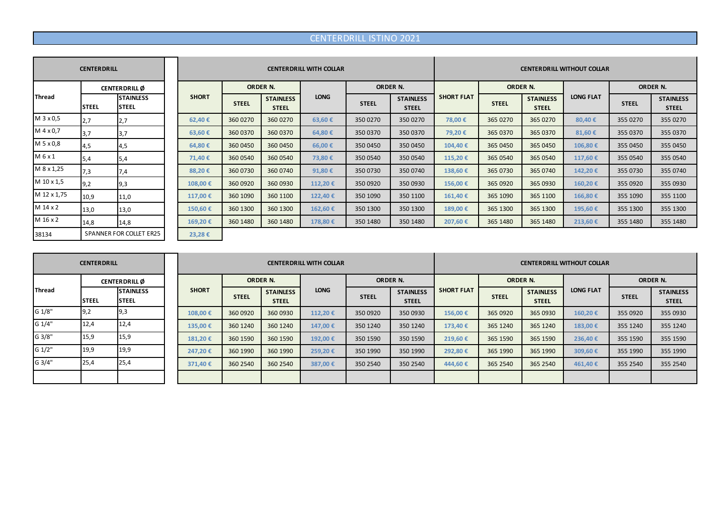## CENTERDRILL ISTINO 2021

|             | <b>CENTERDRILL</b> |                                   |              |              |                                  | <b>CENTERDRILL WITH COLLAR</b> |                 |                                  | <b>CENTERDRILL WITHOUT COLLAR</b> |                 |                                  |                  |              |                                  |  |
|-------------|--------------------|-----------------------------------|--------------|--------------|----------------------------------|--------------------------------|-----------------|----------------------------------|-----------------------------------|-----------------|----------------------------------|------------------|--------------|----------------------------------|--|
|             |                    | <b>CENTERDRILL</b> Ø              |              |              | ORDER N.                         |                                | <b>ORDER N.</b> |                                  |                                   | <b>ORDER N.</b> |                                  |                  | ORDER N.     |                                  |  |
| Thread      | <b>STEEL</b>       | <b>STAINLESS</b><br><b>ISTEEL</b> | <b>SHORT</b> | <b>STEEL</b> | <b>STAINLESS</b><br><b>STEEL</b> | <b>LONG</b>                    | <b>STEEL</b>    | <b>STAINLESS</b><br><b>STEEL</b> | <b>SHORT FLAT</b>                 | <b>STEEL</b>    | <b>STAINLESS</b><br><b>STEEL</b> | <b>LONG FLAT</b> | <b>STEEL</b> | <b>STAINLESS</b><br><b>STEEL</b> |  |
| M 3 x 0,5   | 2,7                | 2,7                               | 62,40€       | 360 0270     | 360 0270                         | 63,60€                         | 350 0270        | 350 0270                         | 78,00 €                           | 365 0270        | 365 0270                         | 80,40€           | 355 0270     | 355 0270                         |  |
| M 4 x 0,7   | 3,7                | 3,7                               | 63,60€       | 360 0370     | 360 0370                         | 64,80€                         | 350 0370        | 350 0370                         | 79,20€                            | 365 0370        | 365 0370                         | 81,60€           | 355 0370     | 355 0370                         |  |
| M 5 x 0,8   | 4,5                | 4,5                               | 64,80€       | 360 0450     | 360 0450                         | 66,00€                         | 350 0450        | 350 0450                         | 104,40€                           | 365 0450        | 365 0450                         | 106,80€          | 355 0450     | 355 0450                         |  |
| M 6 x 1     | 5,4                | 5,4                               | 71,40 €      | 360 0540     | 360 0540                         | 73,80€                         | 350 0540        | 350 0540                         | 115,20€                           | 365 0540        | 365 0540                         | 117,60 €         | 355 0540     | 355 0540                         |  |
| M 8 x 1,25  | 7,3                | 7,4                               | 88,20€       | 360 0730     | 360 0740                         | 91,80€                         | 350 0730        | 350 0740                         | 138,60€                           | 365 0730        | 365 0740                         | 142,20€          | 355 0730     | 355 0740                         |  |
| M 10 x 1,5  | 9,2                | 9,3                               | 108,00€      | 360 0920     | 360 0930                         | 112,20€                        | 350 0920        | 350 0930                         | 156,00€                           | 365 0920        | 365 0930                         | 160,20€          | 355 0920     | 355 0930                         |  |
| M 12 x 1,75 | 10,9               | 11,0                              | 117,00 €     | 360 1090     | 360 1100                         | 122,40€                        | 350 1090        | 350 1100                         | 161,40€                           | 365 1090        | 365 1100                         | 166,80€          | 355 1090     | 355 1100                         |  |
| M 14 x 2    | 13,0               | 13,0                              | 150,60€      | 360 1300     | 360 1300                         | 162,60€                        | 350 1300        | 350 1300                         | 189,00 €                          | 365 1300        | 365 1300                         | 195,60€          | 355 1300     | 355 1300                         |  |
| M 16 x 2    | 14,8               | 14,8                              | 169,20€      | 360 1480     | 360 1480                         | 178,80€                        | 350 1480        | 350 1480                         | 207,60 €                          | 365 1480        | 365 1480                         | 213,60€          | 355 1480     | 355 1480                         |  |
| 38134       |                    | SPANNER FOR COLLET ER25           | 23,28€       |              |                                  |                                |                 |                                  |                                   |                 |                                  |                  |              |                                  |  |

|               | <b>CENTERDRILL</b>   |                                  |              |                 |                                  | <b>CENTERDRILL WITH COLLAR</b> |              |                                  | <b>CENTERDRILL WITHOUT COLLAR</b> |              |                                  |                  |              |                                  |
|---------------|----------------------|----------------------------------|--------------|-----------------|----------------------------------|--------------------------------|--------------|----------------------------------|-----------------------------------|--------------|----------------------------------|------------------|--------------|----------------------------------|
|               | <b>CENTERDRILL</b> Ø |                                  |              | <b>ORDER N.</b> |                                  |                                |              | <b>ORDER N.</b>                  |                                   | ORDER N.     |                                  |                  | ORDER N.     |                                  |
| <b>Thread</b> | <b>ISTEEL</b>        | <b>STAINLESS</b><br><b>STEEL</b> | <b>SHORT</b> | <b>STEEL</b>    | <b>STAINLESS</b><br><b>STEEL</b> | <b>LONG</b>                    | <b>STEEL</b> | <b>STAINLESS</b><br><b>STEEL</b> | <b>SHORT FLAT</b>                 | <b>STEEL</b> | <b>STAINLESS</b><br><b>STEEL</b> | <b>LONG FLAT</b> | <b>STEEL</b> | <b>STAINLESS</b><br><b>STEEL</b> |
| G 1/8"        | 19,2                 | 19,3                             | 108.00€      | 360 0920        | 360 0930                         | 112.20€                        | 350 0920     | 350 0930                         | 156,00 €                          | 365 0920     | 365 0930                         | 160,20€          | 355 0920     | 355 0930                         |
| G 1/4"        | 12.4                 | 12.4                             | 135,00€      | 360 1240        | 360 1240                         | 147,00 €                       | 350 1240     | 350 1240                         | 173,40€                           | 365 1240     | 365 1240                         | 183,00€          | 355 1240     | 355 1240                         |
| G 3/8"        | 15,9                 | 15,9                             | 181,20€      | 360 1590        | 360 1590                         | 192,00€                        | 350 1590     | 350 1590                         | 219,60€                           | 365 1590     | 365 1590                         | 236,40€          | 355 1590     | 355 1590                         |
| G 1/2"        | 19,9                 | 19,9                             | 247.20€      | 360 1990        | 360 1990                         | 259,20€                        | 350 1990     | 350 1990                         | 292,80 €                          | 365 1990     | 365 1990                         | 309,60€          | 355 1990     | 355 1990                         |
| G 3/4"        | 25,4                 | 25,4                             | 371,40€      | 360 2540        | 360 2540                         | 387,00 €                       | 350 2540     | 350 2540                         | 444.60€                           | 365 2540     | 365 2540                         | 461.40€          | 355 2540     | 355 2540                         |
|               |                      |                                  |              |                 |                                  |                                |              |                                  |                                   |              |                                  |                  |              |                                  |